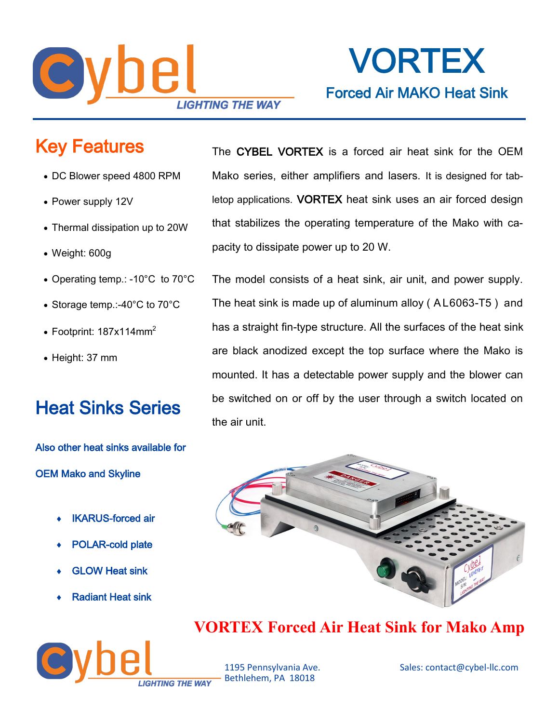

# VORTEX Forced Air MAKO Heat Sink

## Key Features

- DC Blower speed 4800 RPM
- Power supply 12V
- Thermal dissipation up to 20W
- Weight: 600g
- Operating temp.: -10°C to 70°C
- Storage temp.:-40°C to 70°C
- Footprint:  $187x114mm^2$
- Height: 37 mm

### Heat Sinks Series

Also other heat sinks available for OEM Mako and Skyline

- IKARUS-forced air
- POLAR-cold plate
- GLOW Heat sink
- Radiant Heat sink



The CYBEL VORTEX is a forced air heat sink for the OEM Mako series, either amplifiers and lasers. It is designed for tabletop applications. VORTEX heat sink uses an air forced design that stabilizes the operating temperature of the Mako with capacity to dissipate power up to 20 W.

The model consists of a heat sink, air unit, and power supply. The heat sink is made up of aluminum alloy ( A L6063-T5 ) and has a straight fin-type structure. All the surfaces of the heat sink are black anodized except the top surface where the Mako is mounted. It has a detectable power supply and the blower can be switched on or off by the user through a switch located on the air unit.



### **VORTEX Forced Air Heat Sink for Mako Amp**

Bethlehem, PA 18018

1195 Pennsylvania Ave. Sales: contact@cybel-llc.com